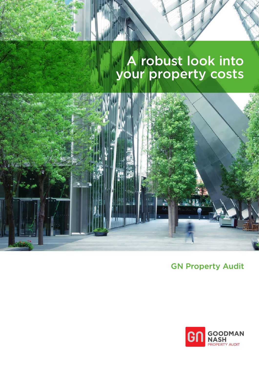# A robust look into your property costs



GN Property Audit

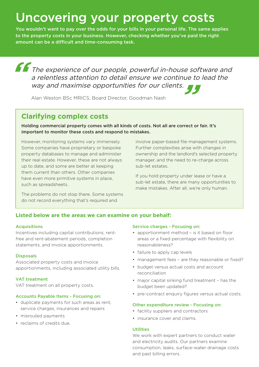# Uncovering your property costs

You wouldn't want to pay over the odds for your bills in your personal life. The same applies to the property costs in your business. However, checking whether you've paid the right amount can be a difficult and time-consuming task.

**The experience of our people, powerful in-house software and** a relentless attention to detail ensure we continue to lead the way and maximise opportunities for our clients. way and maximise opportunities for our clients.

Alan Weston BSc MRICS, Board Director, Goodman Nash

## **Clarifying complex costs**

Holding commercial property comes with all kinds of costs. Not all are correct or fair. It's important to monitor these costs and respond to mistakes.

However, monitoring systems vary immensely. Some companies have proprietary or bespoke property databases to manage and administer their real estate. However, these are not always up to date, and some are better at keeping them current than others. Other companies have even more primitive systems in place, such as spreadsheets.

The problems do not stop there. Some systems do not record everything that's required and

**Listed below are the areas we can examine on your behalf:**

## Acquisitions

Incentives including capital contributions, rentfree and rent-abatement periods, completion statements, and invoice apportionments.

#### **Disposals**

Associated property costs and invoice apportionments, including associated utility bills.

## VAT treatment

VAT treatment on all property costs.

#### Accounts Payable Items - Focusing on:

- duplicate payments for such areas as rent, service charges, insurances and repairs
- misrouted payments
- reclaims of credits due.

#### Service charges - Focusing on:

sub-let estates.

• apportionment method – is it based on floor areas or a fixed percentage with flexibility on reasonableness?

involve paper-based file-management systems. Further complexities arise with changes in ownership and the landlord's selected property manager, and the need to re-charge across

If you hold property under lease or have a sub-let estate, there are many opportunities to make mistakes. After all, we're only human.

- failure to apply cap levels
- management fees are they reasonable or fixed?
- budget versus actual costs and account reconciliation
- major capital sinking fund treatment has the budget been updated?
- pre-contract enquiry figures versus actual costs.

#### Other expenditure review - Focusing on:

- facility suppliers and contractors
- insurance cover and claims.

#### Utilities

We work with expert partners to conduct water and electricity audits. Our partners examine consumption, leaks, surface-water drainage costs and past billing errors.